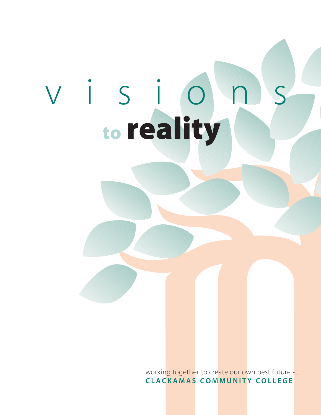# visions to reality

working together to create our own best future at CLA CKAMAS COMMUNITY COLLEGE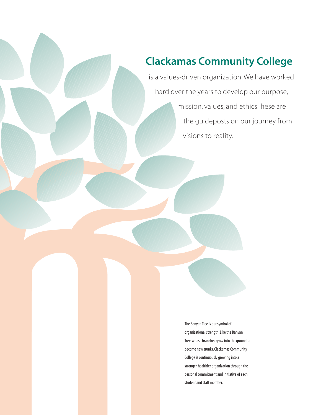### Clackamas Community College

is a values-driven organization. We have worked hard over the years to develop our purpose, mission, values, and ethics. These are the guideposts on our journey from visions to reality.

> The Banyan Tree is our symbol of organizational strength. Like the Banyan Tree, whose branches grow into the ground to become new trunks, Clackamas Community College is continuously growing into a stronger, healthier organization through the personal commitment and initiative of each student and staff member.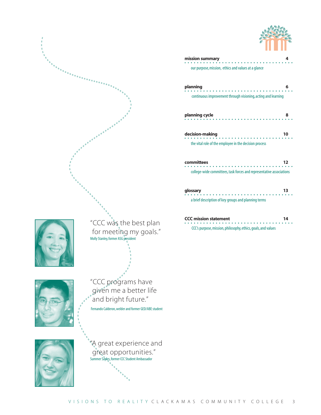

|                        | mission summary                                                      | 4  |  |
|------------------------|----------------------------------------------------------------------|----|--|
|                        | our purpose, mission, ethics and values at a glance                  |    |  |
| enningsing             | planning                                                             | 6  |  |
|                        | continuous improvement through visioning, acting and learning        |    |  |
|                        | planning cycle                                                       | 8  |  |
|                        | decision-making                                                      | 10 |  |
|                        | the vital role of the employee in the decision process               |    |  |
|                        | committees                                                           | 12 |  |
|                        | college-wide committees, task forces and representative associations |    |  |
|                        | glossary                                                             | 13 |  |
|                        | a brief description of key groups and planning terms                 |    |  |
|                        | <b>CCC mission statement</b>                                         | 14 |  |
| "CCC was the best plan | CCC's purpose, mission, philosophy, ethics, goals, and values        |    |  |



for meeting my goals." Molly Stanley, former ASG president



"CCC programs have given me a better life and bright future." Fernando Calderon, welder and former GED/ABE student

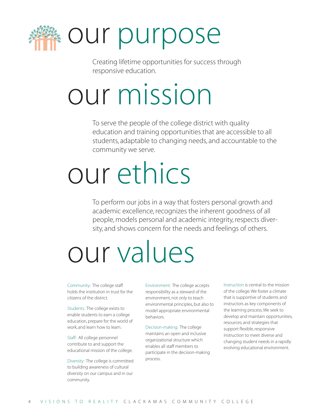

Creating lifetime opportunities for success through responsive education.

### our mission

To serve the people of the college district with quality education and training opportunities that are accessible to all students, adaptable to changing needs, and accountable to the community we serve.

### our ethics

To perform our jobs in a way that fosters personal growth and academic excellence, recognizes the inherent goodness of all people, models personal and academic integrity, respects diversity, and shows concern for the needs and feelings of others.

### our values

Community: The college staff holds the institution in trust for the citizens of the district.

Students: The college exists to enable students to earn a college education, prepare for the world of work, and learn how to learn.

Staff: All college personnel contribute to and support the educational mission of the college.

Diversity: The college is committed to building awareness of cultural diversity on our campus and in our community.

Environment: The college accepts responsibility as a steward of the environment, not only to teach environmental principles, but also to model appropriate environmental behaviors.

Decision-making: The college maintains an open and inclusive organizational structure which enables all staff members to participate in the decision-making process.

Instruction is central to the mission of the college. We foster a climate that is supportive of students and instructors as key components of the learning process. We seek to develop and maintain opportunities, resources, and strategies that support flexible, responsive instruction to meet diverse and changing student needs in a rapidly evolving educational environment.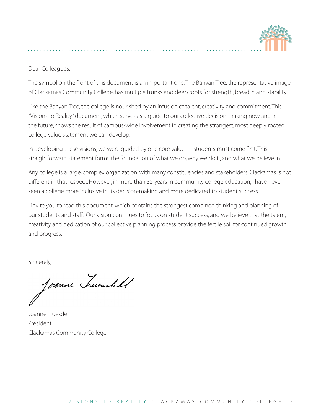

### Dear Colleagues:

The symbol on the front of this document is an important one. The Banyan Tree, the representative image of Clackamas Community College, has multiple trunks and deep roots for strength, breadth and stability.

Like the Banyan Tree, the college is nourished by an infusion of talent, creativity and commitment. This "Visions to Reality" document, which serves as a guide to our collective decision-making now and in the future, shows the result of campus-wide involvement in creating the strongest, most deeply rooted college value statement we can develop.

In developing these visions, we were guided by one core value — students must come first. This straightforward statement forms the foundation of what we do, why we do it, and what we believe in.

Any college is a large, complex organization, with many constituencies and stakeholders. Clackamas is not different in that respect. However, in more than 35 years in community college education, I have never seen a college more inclusive in its decision-making and more dedicated to student success.

I invite you to read this document, which contains the strongest combined thinking and planning of our students and staff. Our vision continues to focus on student success, and we believe that the talent, creativity and dedication of our collective planning process provide the fertile soil for continued growth and progress.

Sincerely,

Toanne huessbell

Joanne Truesdell President Clackamas Community College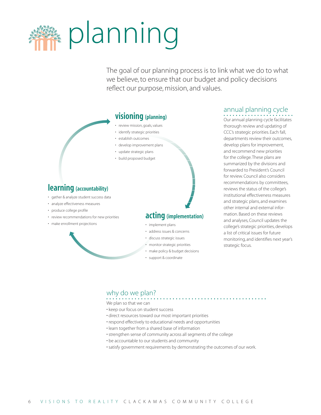

The goal of our planning process is to link what we do to what we believe, to ensure that our budget and policy decisions reflect our purpose, mission, and values.

### visioning (planning)

- review mission, goals, values
- identify strategic priorities
- establish outcomes
- develop improvement plans
- update strategic plans
- build proposed budget

### learning (accountability)

- gather & analyze student success data
- analyze effectiveness measures
- produce college profile
- review recommendations for new priorities
- make enrollment projections

## acting (implementation) • implement plans

- address issues & concerns
- discuss strategic issues
- monitor strategic priorities
- make policy & budget decisions
- support & coordinate

### annual planning cycle

Our annual planning cycle facilitates thorough review and updating of CCC's strategic priorities. Each fall, departments review their outcomes, develop plans for improvement, and recommend new priorities for the college. These plans are summarized by the divisions and forwarded to President's Council for review. Council also considers recommendations by committees, reviews the status of the college's institutional effectiveness measures and strategic plans, and examines other internal and external information. Based on these reviews and analyses, Council updates the college's strategic priorities, develops a list of critical issues for future monitoring, and identifies next year's strategic focus.

### why do we plan?

We plan so that we can

- keep our focus on student success
- direct resources toward our most important priorities
- respond effectively to educational needs and opportunities
- learn together from a shared base of information
- strengthen sense of community across all segments of the college
- be accountable to our students and community
- satisfy government requirements by demonstrating the outcomes of our work.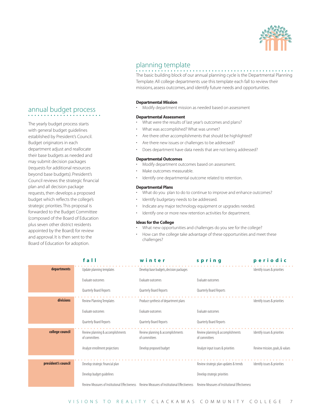

### planning template

. . . . . . . . . . . . . . . The basic building block of our annual planning cycle is the Departmental Planning Template. All college departments use this template each fall to review their missions, assess outcomes, and identify future needs and opportunities.

### Departmental Mission

• Modify department mission as needed based on assessment

### Departmental Assessment

- What were the results of last year's outcomes and plans?
- What was accomplished? What was unmet?
- Are there other accomplishments that should be highlighted?
- Are there new issues or challenges to be addressed?
- Does department have data needs that are not being addressed?

### Departmental Outcomes

- Modify department outcomes based on assessment.
- Make outcomes measurable.
- Identify one departmental outcome related to retention.

### Departmental Plans

- What do you plan to do to continue to improve and enhance outcomes?
- Identify budgetary needs to be addressed.
- Indicate any major technology equipment or upgrades needed.
- Identify one or more new retention activities for department.

### Ideas for the College

- What new opportunities and challenges do you see for the college?
- How can the college take advantage of these opportunities and meet these challenges?

|                     | fall                                               | winter                                             | spring                                             | periodic                        |
|---------------------|----------------------------------------------------|----------------------------------------------------|----------------------------------------------------|---------------------------------|
| departments         | Update planning templates                          | Develop base budgets, decision packages            |                                                    | Identify issues & priorities    |
|                     | <b>Evaluate outcomes</b>                           | <b>Fyaluate outcomes</b>                           | Evaluate outcomes                                  |                                 |
|                     | Quarterly Board Reports                            | Quarterly Board Reports                            | Quarterly Board Reports                            |                                 |
| divisions           | Review Planning Templates                          | Produce synthesis of department plans              |                                                    | Identify issues & priorities    |
|                     | Evaluate outcomes                                  | Evaluate outcomes                                  | Evaluate outcomes                                  |                                 |
|                     | Quarterly Board Reports                            | Quarterly Board Reports                            | Quarterly Board Reports                            |                                 |
| college council     | Review planning & accomplishments<br>of committees | Review planning & accomplishments<br>of committees | Review planning & accomplishments<br>of committees | Identify issues & priorities    |
|                     | Analyze enrollment projections                     | Develop proposed budget                            | Analyze input issues & priorities                  | Review mission, goals, & values |
| president's council | Develop strategic financial plan                   |                                                    | Review strategic plan updates & trends             | Identify issues & priorities    |
|                     |                                                    |                                                    |                                                    |                                 |
|                     | Develop budget quidelines                          |                                                    | Develop strategic priorities                       |                                 |
|                     | Review Measures of Institutional Effectiveness     | Review Measures of Institutional Effectiveness     | Review Measures of Institutional Effectiveness     |                                 |

### VISIONS TO REALITY CLACKAMAS COMMUNITY COLLEGE 7

### annual budget process

The yearly budget process starts with general budget guidelines established by President's Council. Budget originators in each department adjust and reallocate their base budgets as needed and may submit decision packages (requests for additional resources beyond base budgets). President's Council reviews the strategic financial plan and all decision package requests, then develops a proposed budget which reflects the college's strategic priorities. This proposal is forwarded to the Budget Committee (composed of the Board of Education plus seven other district residents appointed by the Board) for review and approval. It is then sent to the Board of Education for adoption.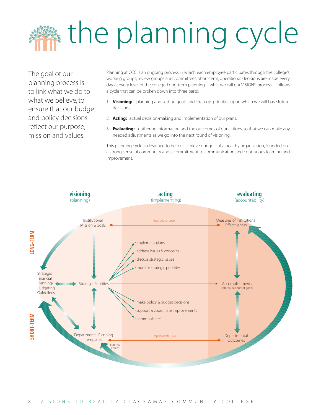## **a** the planning cycle

The goal of our planning process is to link what we do to what we believe, to ensure that our budget and policy decisions reflect our purpose, mission and values.

Planning at CCC is an ongoing process in which each employee participates through the college's working groups, review groups and committees. Short-term, operational decisions are made every day at every level of the college. Long-term planning—what we call our VISIONS process—follows a cycle that can be broken down into three parts:

- 1. Visioning: planning and setting goals and strategic priorities upon which we will base future decisions.
- 2. **Acting:** actual decision-making and implementation of our plans.
- 3. **Evaluating:** gathering information and the outcomes of our actions, so that we can make any needed adjustments as we go into the next round of visioning.

This planning cycle is designed to help us achieve our goal of a healthy organization, founded on a strong sense of community and a commitment to communication and continuous learning and improvement.

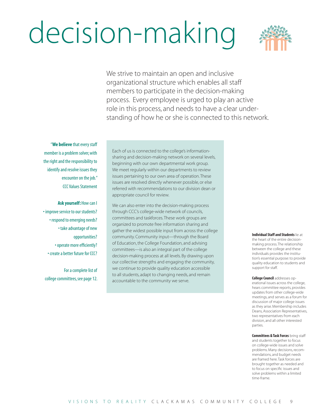### decision-making



We strive to maintain an open and inclusive organizational structure which enables all staff members to participate in the decision-making process. Every employee is urged to play an active role in this process, and needs to have a clear understanding of how he or she is connected to this network.

"We believe that every staff member is a problem solver, with the right and the responsibility to identify and resolve issues they encounter on the job." CCC Values Statement

Ask yourself: How can I • improve service to our students? • respond to emerging needs? • take advantage of new opportunities? • operate more efficiently? • create a better future for CCC?

For a complete list of college committees, see page 12. Each of us is connected to the college's informationsharing and decision-making network on several levels, beginning with our own departmental work group. We meet regularly within our departments to review issues pertaining to our own area of operation. These issues are resolved directly whenever possible, or else referred with recommendations to our division dean or appropriate council for review.

We can also enter into the decision-making process through CCC's college-wide network of councils, committees and taskforces. These work groups are organized to promote free information sharing and gather the widest possible input from across the college community. Community input—through the Board of Education, the College Foundation, and advising committees—is also an integral part of the college decision-making process at all levels. By drawing upon our collective strengths and engaging the community, we continue to provide quality education accessible to all students, adapt to changing needs, and remain accountable to the community we serve.

Individual Staff and Students lie at the heart of the entire decisionmaking process. The relationship between the college and these individuals provides the institution's essential purpose: to provide quality education to students and support for staff.

College Council addresses operational issues across the college, hears committee reports, provides updates from other college-wide meetings, and serves as a forum for discussion of major college issues as they arise. Membership includes Deans, Association Representatives, two representatives from each division, and all other interested parties.

**Committees & Task Forces bring staff** and students together to focus on college-wide issues and solve problems. Many decisions, recommendations, and budget needs are framed here. Task forces are brought together as needed and to focus on specific issues and solve problems within a limited time-frame.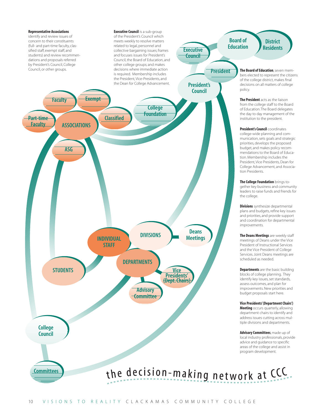### Representative Associations

**Committees** 

identify and review issues of concern to their constituents (full- and part-time faculty, classified staff, exempt staff, and students) and review recommendations and proposals referred by President's Council, College<br>Council, or other groups.

**Executive Council** is a sub-group of the President's Council which meets weekly to resolve matters related to legal, personnel and collective bargaining issues; frames and focuses issues for President's Council, the Board of Education, and other college groups; and makes decisions where immediate action is required. Membership includes the President, Vice-Presidents, and the Dean for College Advancement.

President **Executive Council** 



The Board of Education, seven members elected to represent the citizens of the college district, makes final decisions on all matters of college policy.

**District Residents** 

Board of Education

> The President acts as the liaison from the college staff to the Board of Education. The Board delegates the day to day management of the institution to the president.

President's Council coordinates college-wide planning and communication, sets goals and strategic priorities, develops the proposed budget, and makes policy recommendations to the Board of Education. Membership includes the President, Vice Presidents, Dean for College Advancement, and Association Presidents.

The College Foundation brings together key business and community leaders to raise funds and friends for the college.

**Divisions** synthesize departmental plans and budgets, refine key issues and priorities, and provide support and coordination for departmental improvements.

The Deans Meetings are weekly staff meetings of Deans under the Vice President of Instructional Services and the Vice President of College Services. Joint Deans meetings are scheduled as needed.

**Departments** are the basic building blocks of college planning. They identify key issues, set standards, assess outcomes, and plan for improvements. New priorities and budget proposals start here.

Vice Presidents' (Department Chairs') **Meeting** occurs quarterly, allowing department chairs to identify and address issues cutting across multiple divisions and departments.

Advisory Committees, made up of local industry professionals, provide advice and guidance to specific areas of the college and assist in program development.

the decision-making network at CCC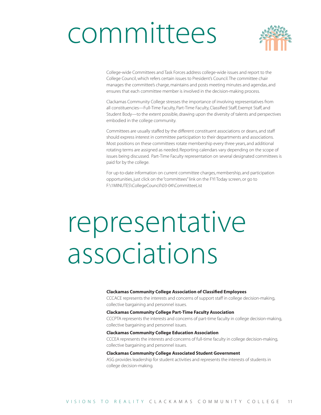### committees



College-wide Committees and Task Forces address college-wide issues and report to the College Council, which refers certain issues to President's Council. The committee chair manages the committee's charge, maintains and posts meeting minutes and agendas, and ensures that each committee member is involved in the decision-making process.

Clackamas Community College stresses the importance of involving representatives from all constituencies—Full-Time Faculty, Part-Time Faculty, Classified Staff, Exempt Staff, and Student Body—to the extent possible, drawing upon the diversity of talents and perspectives embodied in the college community.

Committees are usually staffed by the different constituent associations or deans, and staff should express interest in committee participation to their departments and associations. Most positions on these committees rotate membership every three years, and additional rotating terms are assigned as needed. Reporting calendars vary depending on the scope of issues being discussed. Part-Time Faculty representation on several designated committees is paid for by the college.

For up-to-date information on current committee charges, membership, and participation opportunities, just click on the "committees" link on the FYI Today screen, or go to F:\1MINUTES\CollegeCouncil\03-04\CommitteeList

### representative associations

### Clackamas Community College Association of Classified Employees

CCCACE represents the interests and concerns of support staff in college decision-making, collective bargaining and personnel issues.

### Clackamas Community College Part-Time Faculty Association

CCCPTA represents the interests and concerns of part-time faculty in college decision-making, collective bargaining and personnel issues.

### Clackamas Community College Education Association

CCCEA represents the interests and concerns of full-time faculty in college decision-making, collective bargaining and personnel issues.

### Clackamas Community College Associated Student Government

ASG provides leadership for student activities and represents the interests of students in college decision-making.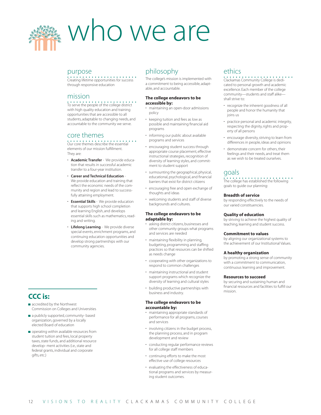

### purpose

Creating lifetime opportunities for success through responsive education

### mission<br>••••••••••••••••••••••••••

To serve the people of the college district with high quality education and training opportunities that are accessible to all students, adaptable to changing needs, and accountable to the community we serve.

### core themes

Our core themes describe the essential elements of our mission fulfillment. They are:

- Academic Transfer We provide education that results in successful academic transfer to a four-year institution.
- Career and Technical Education We provide education and training that reflect the economic needs of the community and region and lead to successfully attaining employment.
- **Essential Skills** We provide education that supports high school completion and learning English, and develops essential skills such as mathematics, reading and writing.
- Lifelong Learning We provide diverse special events, enrichment programs, and continuing education opportunities and develop strong partnerships with our community agencies.

### CCC is:

- accredited by the Northwest Commission on Colleges and Universities
- a publicly supported, community- based organization, governed by a locally elected Board of education
- operating within available resources from student tuition and fees, local property taxes, state funds, and additional resource develop- ment activities (i.e., state and federal grants, individual and corporate gifts, etc.)

### philosophy

The college's mission is implemented with a commitment to being accessible, adaptable, and accountable.

### The college endeavors to be accessible by:

- maintaining an open-door admissions policy
- keeping tuition and fees as low as possible and maintaining financial aid programs
- informing our public about available programs and services
- encouraging student success through appropriate course placement, effective instructional strategies, recognition of diversity of learning styles, and commitment to student support
- surmounting the geographical, physical, educational, psychological, and financial barriers that exist for district citizens
- encouraging free and open exchange of thoughts and ideas
- welcoming students and staff of diverse backgrounds and cultures.

### The college endeavors to be adaptable by:

- asking district citizens, businesses and other community groups what programs and services are needed
- maintaining flexibility in planning, budgeting, programming and staffing practices so that resources can be shifted as needs change
- cooperating with other organizations to respond to common challenges
- maintaining instructional and student support programs which recognize the diversity of learning and cultural styles
- building productive partnerships with business and industry.

### The college endeavors to be accountable by:

- maintaining appropriate standards of performance for all programs, courses and services
- involving citizens in the budget process, the planning process, and in program development and review
- conducting regular performance reviews for all college staff members
- continuing efforts to make the most effective use of college resources
- evaluating the effectiveness of educational programs and services by measuring student outcomes.

### ethics

Clackamas Community College is dedicated to personal growth and academic excellence. Each member of the college community—students and staff alike shall strive to:

- recognize the inherent goodness of all people and honor the humanity that joins us
- practice personal and academic integrity, respecting the dignity, rights and property of all persons
- encourage diversity, striving to learn from differences in people, ideas and opinions
- demonstrate concern for others, their feelings and their needs, and treat them as we wish to be treated ourselves.

### goals

### The college has established the following goals to guide our planning:

### Breadth of service

by responding effectively to the needs of our varied constituencies.

### Quality of education

by striving to achieve the highest quality of teaching, learning and student success.

### Commitment to values

by aligning our organizational systems to the achievement of our Institutional Values.

### A healthy organization

by promoting a strong sense of community with a commitment to communication, continuous learning and improvement.

### Resources to succeed

by securing and sustaining human and financial resources and facilities to fulfill our mission.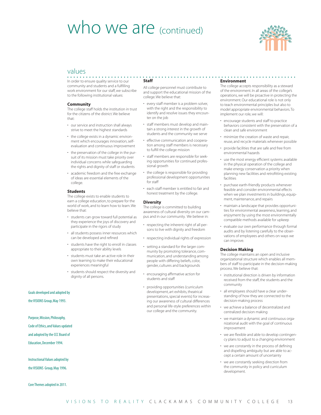### who we are (continued)



### values

In order to ensure quality service to our community and students and a fulfilling work environment for our staff, we subscribe to the following institutional values:

### **Community**

The college staff holds the institution in trust for the citizens of the district. We believe that:

- our service and instruction shall always strive to meet the highest standards
- the college exists in a dynamic environment which encourages innovation, selfevaluation and continuous improvement
- the preservation of the college in the pursuit of its mission must take priority over individual concerns while safeguarding the rights and dignity of staff or students
- academic freedom and the free exchange of ideas are essential elements of the college.

### **Students**

The college exists to enable students to earn a college education, to prepare for the world of work, and to learn how to learn. We believe that:

- students can grow toward full potential as they experience the joys of discovery and participate in the rigors of study
- all students possess inner resources which can be developed and refined
- students have the right to enroll in classes appropriate to their ability levels
- students must take an active role in their own learning to make their educational experiences meaningful
- students should respect the diversity and dignity of all persons.

Goals developed and adopted by

the VISIONS Group, May 1993.

### Purpose, Mission, Philosophy,

Code of Ethics, and Values updated

and adopted by the CCC Board of

Education, December 1994.

Instructional Values adopted by the VISIONS Group, May 1996.

Core Themes adopted in 2011.

### Staff

All college personnel must contribute to and support the educational mission of the college. We believe that:

- every staff member is a problem solver, with the right and the responsibility to identify and resolve issues they encounter on the job
- staff members must develop and maintain a strong interest in the growth of students and the community we serve
- effective communication and cooperation among staff members is necessary to fulfill the college mission
- staff members are responsible for seeking opportunities for continued professional growth
- the college is responsible for providing professional development opportunities for staff
- each staff member is entitled to fair and honest treatment by the college.

### **Diversity**

The college is committed to building awareness of cultural diversity on our campus and in our community. We believe in:

- respecting the inherent right of all persons to live with dignity and freedom
- respecting individual rights of expression
- setting a standard for the larger community by promoting tolerance, communication, and understanding among people with differing beliefs, color, gender, cultures and backgrounds
- encouraging affirmative action for students and staff
- providing opportunities (curriculum development, art exhibits, theatrical presentations, special events) for increasing our awareness of cultural differences and personal life-style preferences within our college and the community.

### Environment

The college accepts responsibility as a steward of the environment. In all areas of the college's operations, we will be proactive in protecting the environment. Our educational role is not only to teach environmental principles but also to model appropriate environmental behaviors. To implement our role, we will:

- encourage students and staff to practice behaviors consistent with the preservation of a clean and safe environment
- minimize the creation of waste and repair, reuse, and recycle materials whenever possible
- provide facilities that are safe and free from environmental hazards
- use the most energy efficient systems available in the physical operation of the college and make energy conservation a priority when planning new facilities and retrofitting existing facilities
- purchase earth-friendly products whenever feasible and consider environmental effects when we plan investments in buildings, equipment, maintenance, and repairs
- maintain a landscape that provides opportunities for environmental awareness, learning, and enjoyment by using the most environmentally compatible methods available for upkeep
- evaluate our own performance through formal audits and by listening carefully to the observations of employees and others on ways we can improve.

### Decision Making

The college maintains an open and inclusive organizational structure which enables all members of staff to participate in the decision-making process. We believe that:

- institutional direction is driven by information received from the staff, the students and the community
- all employees should have a clear understanding of how they are connected to the decision-making process
- we achieve a balance of decentralized and centralized decision making
- we maintain a dynamic and continuous organizational audit with the goal of continuous improvement
- we are flexible and able to develop contingency plans to adjust to a changing environment
- we are constantly in the process of defining and dispelling ambiguity but are able to accept a certain amount of uncertainty
- we are constantly seeking direction from the community in policy and curriculum development.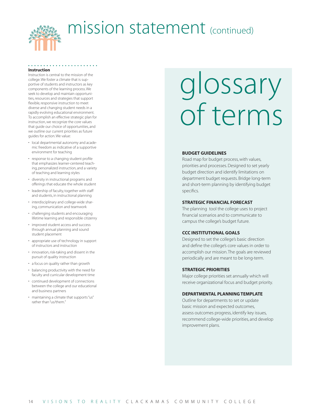

### mission statement (continued)

### Instruction

Instruction is central to the mission of the college. We foster a climate that is supportive of students and instructors as key components of the learning process. We seek to develop and maintain opportunities, resources and strategies that support flexible, responsive instruction to meet diverse and changing student needs in a rapidly evolving educational environment. To accomplish an effective strategic plan for instruction, we recognize the core values that guide our choice of opportunities, and we outline our current priorities as future guides for action. We value:

- local departmental autonomy and academic freedom as indicative of a supportive environment for teaching
- response to a changing student profile that emphasizes learner-centered teaching, personalized instruction, and a variety of teaching and learning styles
- diversity in instructional programs and offerings that educate the whole student
- leadership of faculty, together with staff and students, in instructional planning
- interdisciplinary and college-wide sharing, communication and teamwork
- challenging students and encouraging lifetime learning and responsible citizenry
- improved student access and success through annual planning and sound student placement
- appropriate use of technology in support of instructors and instruction
- innovation, risk-taking and dissent in the pursuit of quality instruction
- a focus on quality rather than growth
- balancing productivity with the need for faculty and curricular development time
- continued development of connections between the college and our educational and business partners
- maintaining a climate that supports "us" rather than "us/them."

## glossary of terms

### BUDGET GUIDELINES

Road map for budget process, with values, priorities and processes. Designed to set yearly budget direction and identify limitations on department budget requests. Bridge long-term and short-term planning by identifying budget specifics.

### STRATEGIC FINANCIAL FORECAST

The planning tool the college uses to project financial scenarios and to communicate to campus the college's budget future.

### CCC INSTITUTIONAL GOALS

Designed to set the college's basic direction and define the college's core values in order to accomplish our mission. The goals are reviewed periodically and are meant to be long-term.

### STRATEGIC PRIORITIES

Major college priorities set annually which will receive organizational focus and budget priority.

### DEPARTMENTAL PLANNING TEMPLATE

Outline for departments to set or update basic mission and expected outcomes, assess outcomes progress, identify key issues, recommend college-wide priorities, and develop improvement plans.